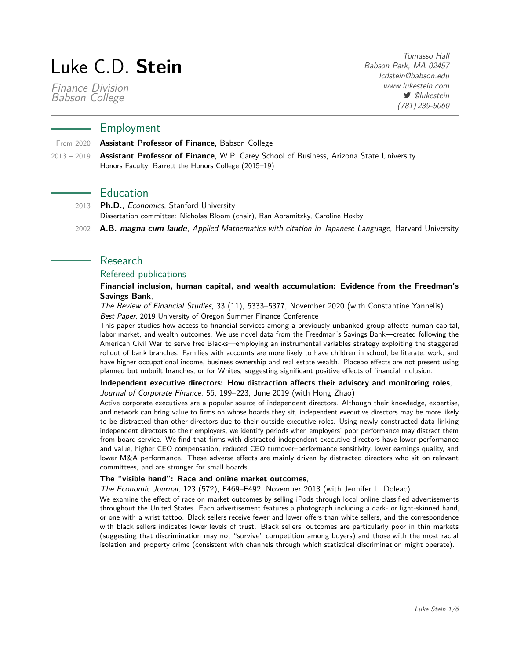# Luke C.D. **Stein**

[Finance Division](https://www.babson.edu/academics/academic-divisions/finance/) [Babson College](https://www.babson.edu/)

Tomasso Hall Babson Park, MA 02457 [lcdstein@babson.edu](mailto:lcdstein@babson.edu) [www.lukestein.com](http://www.lukestein.com) *<u> @lukestein*</u> (781) 239-5060

# Employment

From 2020 **Assistant Professor of Finance**, [Babson College](https://www.babson.edu/academics/academic-divisions/finance/)

2013 – 2019 **Assistant Professor of Finance**, [W.P. Carey School of Business,](http://wpcarey.asu.edu/) [Arizona State University](http://www.asu.edu/) Honors Faculty; [Barrett the Honors College](https://barretthonors.asu.edu/) (2015–19)

# **Education**

- 2013 **Ph.D.**, Economics, Stanford University Dissertation committee: Nicholas Bloom (chair), Ran Abramitzky, Caroline Hoxby
- 2002 **A.B. magna cum laude**, Applied Mathematics with citation in Japanese Language, Harvard University

# Research

# Refereed publications

## **[Financial inclusion, human capital, and wealth accumulation: Evidence from the Freedman's](https://doi.org/10.1093/rfs/hhaa013) [Savings Bank](https://doi.org/10.1093/rfs/hhaa013)**,

The Review of Financial Studies, 33 (11), 5333–5377, November 2020 (with [Constantine Yannelis\)](https://www.chicagobooth.edu/faculty/directory/y/constantine-yannelis) Best Paper, 2019 University of Oregon Summer Finance Conference

This paper studies how access to financial services among a previously unbanked group affects human capital, labor market, and wealth outcomes. We use novel data from the Freedman's Savings Bank—created following the American Civil War to serve free Blacks—employing an instrumental variables strategy exploiting the staggered rollout of bank branches. Families with accounts are more likely to have children in school, be literate, work, and have higher occupational income, business ownership and real estate wealth. Placebo effects are not present using planned but unbuilt branches, or for Whites, suggesting significant positive effects of financial inclusion.

## **[Independent executive directors: How distraction affects their advisory and monitoring roles](https://doi.org/10.1016/j.jcorpfin.2019.02.003)**, Journal of Corporate Finance, 56, 199–223, June 2019 (with [Hong Zhao\)](https://sites.google.com/site/hongzhaofinance/)

Active corporate executives are a popular source of independent directors. Although their knowledge, expertise, and network can bring value to firms on whose boards they sit, independent executive directors may be more likely to be distracted than other directors due to their outside executive roles. Using newly constructed data linking independent directors to their employers, we identify periods when employers' poor performance may distract them from board service. We find that firms with distracted independent executive directors have lower performance and value, higher CEO compensation, reduced CEO turnover–performance sensitivity, lower earnings quality, and lower M&A performance. These adverse effects are mainly driven by distracted directors who sit on relevant committees, and are stronger for small boards.

## **[The "visible hand": Race and online market outcomes](https://doi.org/10.1111/ecoj.12082)**,

The Economic Journal, 123 (572), F469–F492, November 2013 (with [Jennifer L. Doleac\)](http://jenniferdoleac.com/)

We examine the effect of race on market outcomes by selling iPods through local online classified advertisements throughout the United States. Each advertisement features a photograph including a dark- or light-skinned hand, or one with a wrist tattoo. Black sellers receive fewer and lower offers than white sellers, and the correspondence with black sellers indicates lower levels of trust. Black sellers' outcomes are particularly poor in thin markets (suggesting that discrimination may not "survive" competition among buyers) and those with the most racial isolation and property crime (consistent with channels through which statistical discrimination might operate).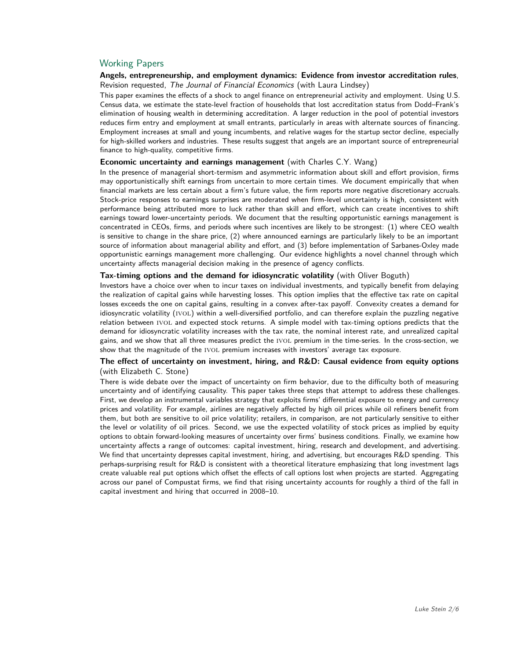# Working Papers

## **[Angels, entrepreneurship, and employment dynamics: Evidence from investor accreditation rules](http://faculty.babson.edu/lcdstein/research/lindsey-stein-angelsentrepreneurship.pdf)**, Revision requested, The Journal of Financial Economics (with [Laura Lindsey\)](https://wpcarey.asu.edu/people/profile/642883)

This paper examines the effects of a shock to angel finance on entrepreneurial activity and employment. Using U.S. Census data, we estimate the state-level fraction of households that lost accreditation status from Dodd–Frank's elimination of housing wealth in determining accreditation. A larger reduction in the pool of potential investors reduces firm entry and employment at small entrants, particularly in areas with alternate sources of financing. Employment increases at small and young incumbents, and relative wages for the startup sector decline, especially for high-skilled workers and industries. These results suggest that angels are an important source of entrepreneurial finance to high-quality, competitive firms.

#### **[Economic uncertainty and earnings management](http://faculty.babson.edu/lcdstein/research/stein-wang-uncertaintyearningsmanagement.pdf)** (with [Charles C.Y. Wang\)](http://charlescywang.com/)

In the presence of managerial short-termism and asymmetric information about skill and effort provision, firms may opportunistically shift earnings from uncertain to more certain times. We document empirically that when financial markets are less certain about a firm's future value, the firm reports more negative discretionary accruals. Stock-price responses to earnings surprises are moderated when firm-level uncertainty is high, consistent with performance being attributed more to luck rather than skill and effort, which can create incentives to shift earnings toward lower-uncertainty periods. We document that the resulting opportunistic earnings management is concentrated in CEOs, firms, and periods where such incentives are likely to be strongest: (1) where CEO wealth is sensitive to change in the share price, (2) where announced earnings are particularly likely to be an important source of information about managerial ability and effort, and (3) before implementation of Sarbanes-Oxley made opportunistic earnings management more challenging. Our evidence highlights a novel channel through which uncertainty affects managerial decision making in the presence of agency conflicts.

#### **Tax-timing options and the demand for idiosyncratic volatility** (with [Oliver Boguth\)](http://www.public.asu.edu/~oboguth/)

Investors have a choice over when to incur taxes on individual investments, and typically benefit from delaying the realization of capital gains while harvesting losses. This option implies that the effective tax rate on capital losses exceeds the one on capital gains, resulting in a convex after-tax payoff. Convexity creates a demand for idiosyncratic volatility (IVOL) within a well-diversified portfolio, and can therefore explain the puzzling negative relation between ivol and expected stock returns. A simple model with tax-timing options predicts that the demand for idiosyncratic volatility increases with the tax rate, the nominal interest rate, and unrealized capital gains, and we show that all three measures predict the ivol premium in the time-series. In the cross-section, we show that the magnitude of the IVOL premium increases with investors' average tax exposure.

## **[The effect of uncertainty on investment, hiring, and R&D: Causal evidence from equity options](http://faculty.babson.edu/lcdstein/research/stein-stone-uncertainty.pdf)** (with [Elizabeth C. Stone\)](https://www.linkedin.com/in/elizabeth-stone-608a754)

There is wide debate over the impact of uncertainty on firm behavior, due to the difficulty both of measuring uncertainty and of identifying causality. This paper takes three steps that attempt to address these challenges. First, we develop an instrumental variables strategy that exploits firms' differential exposure to energy and currency prices and volatility. For example, airlines are negatively affected by high oil prices while oil refiners benefit from them, but both are sensitive to oil price volatility; retailers, in comparison, are not particularly sensitive to either the level or volatility of oil prices. Second, we use the expected volatility of stock prices as implied by equity options to obtain forward-looking measures of uncertainty over firms' business conditions. Finally, we examine how uncertainty affects a range of outcomes: capital investment, hiring, research and development, and advertising. We find that uncertainty depresses capital investment, hiring, and advertising, but encourages R&D spending. This perhaps-surprising result for R&D is consistent with a theoretical literature emphasizing that long investment lags create valuable real put options which offset the effects of call options lost when projects are started. Aggregating across our panel of Compustat firms, we find that rising uncertainty accounts for roughly a third of the fall in capital investment and hiring that occurred in 2008–10.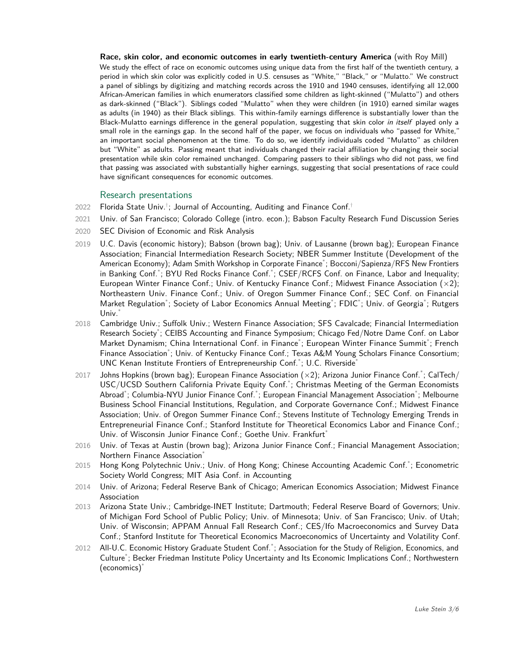**[Race, skin color, and economic outcomes in early twentieth-century America](https://faculty.babson.edu/lcdstein/research/mill-stein-skincolor.pdf)** (with Roy Mill) We study the effect of race on economic outcomes using unique data from the first half of the twentieth century, a period in which skin color was explicitly coded in U.S. censuses as "White," "Black," or "Mulatto." We construct a panel of siblings by digitizing and matching records across the 1910 and 1940 censuses, identifying all 12,000 African-American families in which enumerators classified some children as light-skinned ("Mulatto") and others as dark-skinned ("Black"). Siblings coded "Mulatto" when they were children (in 1910) earned similar wages as adults (in 1940) as their Black siblings. This within-family earnings difference is substantially lower than the Black-Mulatto earnings difference in the general population, suggesting that skin color in itself played only a small role in the earnings gap. In the second half of the paper, we focus on individuals who "passed for White," an important social phenomenon at the time. To do so, we identify individuals coded "Mulatto" as children but "White" as adults. Passing meant that individuals changed their racial affiliation by changing their social presentation while skin color remained unchanged. Comparing passers to their siblings who did not pass, we find that passing was associated with substantially higher earnings, suggesting that social presentations of race could have significant consequences for economic outcomes.

# Research presentations

- $2022$  Florida State Univ. $^{\dagger};$  Journal of Accounting, Auditing and Finance Conf. $^{\dagger}$
- 2021 Univ. of San Francisco; Colorado College (intro. econ.); Babson Faculty Research Fund Discussion Series
- 2020 SEC Division of Economic and Risk Analysis
- 2019 U.C. Davis (economic history); Babson (brown bag); Univ. of Lausanne (brown bag); [European Finance](https://efa2019.efa-meetings.org/) [Association;](https://efa2019.efa-meetings.org/) [Financial Intermediation Research Society;](https://www.conftool.org/firs2019/sessions.php) [NBER Summer Institute \(Development of the](http://papers.nber.org/sched/SI19DAE) [American Economy\);](http://papers.nber.org/sched/SI19DAE) [Adam Smith Workshop in Corporate Finance](https://www.imperial.ac.uk/business-school/events/school-events/adam-smith-workshops-in-asset-pricing-and-corporate-finance-2019/)\* ; Bocconi/Sapienza/RFS New Frontiers in Banking Conf.\*; [BYU Red Rocks Finance Conf.](https://marriottschool.byu.edu/event/redrock2019/)\*; [CSEF/RCFS Conf. on Finance, Labor and Inequality;](http://www.csef.it/Conference-on-Finance-Labor-and?padre=16&annee=2019) [European Winter Finance Conf.;](https://europeanwinterfinanceconference.wordpress.com/) [Univ. of Kentucky Finance Conf.;](http://www.uky.edu/financeconference/2019-program) [Midwest Finance Association](https://www.openconf.org/MidwestFinance2019/modules/request.php?module=oc_program&action=program.php)  $(x2)$ ; [Northeastern Univ. Finance Conf.;](http://www.damore-mckim.northeastern.edu/faculty-and-research/academic-groups/finance/finance-conference) [Univ. of Oregon Summer Finance Conf.;](https://business.uoregon.edu/departments/finance/conference) [SEC Conf. on Financial](https://www.sec.gov/dera/announcement/dera_event-050919_6th-annual-conference-fin-market-reg) [Market Regulation](https://www.sec.gov/dera/announcement/dera_event-050919_6th-annual-conference-fin-market-reg)\*; [Society of Labor Economics Annual Meeting](https://www.sole-jole.org/2019.html)\*; FDIC\*; Univ. of Georgia\*; Rutgers Univ.<sup>\*</sup>
- 2018 Cambridge Univ.; Suffolk Univ.; [Western Finance Association;](http://westernfinance.org/conference-2018/) [SFS Cavalcade;](http://sfs.org/financecavalcade/2018-sfs-finance-cavalcade/) [Financial Intermediation](https://firsocietyblog.files.wordpress.com/2018/10/firs2018.pdf) [Research Society](https://firsocietyblog.files.wordpress.com/2018/10/firs2018.pdf)\* ; [CEIBS Accounting and Finance Symposium;](http://www.ceibs.edu/second-ceibs-finance-conference-7) Chicago Fed/Notre Dame Conf. on Labor Market Dynamism; [China International Conf. in Finance](http://www.cicfconf.org/2018/m/index.html)<sup>\*</sup>; [European Winter Finance Summit](http://ewfs.org/schedule/program-2018/)<sup>\*</sup>; [French](http://affi2018.escpeurope.eu/) [Finance Association](http://affi2018.escpeurope.eu/)<sup>\*</sup>; [Univ. of Kentucky Finance Conf.;](http://www.uky.edu/financeconference/2018-program) [Texas A&M Young Scholars Finance Consortium;](http://mays.tamu.edu/department-of-finance/young-scholars-finance-consortium-2018/) [UNC Kenan Institute Frontiers of Entrepreneurship Conf.](http://kenaninstitute.unc.edu/kifer/)\* ; U.C. Riverside\*
- 2017 Johns Hopkins (brown bag); [European Finance Association](http://www.efa2017.org/) (×2); Arizona Junior Finance Conf.\* ; [CalTech/](http://pevcconf.caltech.edu/) [USC/UCSD Southern California Private Equity Conf.](http://pevcconf.caltech.edu/)\* ; [Christmas Meeting of the German Economists](http://www.public.asu.edu/~bherrend/Various/Program17.pdf) [Abroad](http://www.public.asu.edu/~bherrend/Various/Program17.pdf)\* ; Columbia-NYU Junior Finance Conf.\* ; [European Financial Management Association](http://www.efmaefm.org/0EFMAMEETINGS/EFMA%20ANNUAL%20MEETINGS/2017-Athens/2017%20meetings.php)\* ; [Melbourne](https://mbs.edu/fircg/) [Business School Financial Institutions, Regulation, and Corporate Governance Conf.;](https://mbs.edu/fircg/) [Midwest Finance](https://www.midwestfinance.org/2017Meeting.html) [Association;](https://www.midwestfinance.org/2017Meeting.html) [Univ. of Oregon Summer Finance Conf.;](https://business.uoregon.edu/departments/finance/2017-conference) [Stevens Institute of Technology Emerging Trends in](https://hq.ssrn.com/conference=Trends-Entre-Fin-Stevens) [Entrepreneurial Finance Conf.;](https://hq.ssrn.com/conference=Trends-Entre-Fin-Stevens) [Stanford Institute for Theoretical Economics Labor and Finance Conf.;](https://site.stanford.edu/2017/session-2) Univ. of Wisconsin Junior Finance Conf.; [Goethe Univ. Frankfurt](https://www.wiwi.uni-frankfurt.de/abteilungen/finance/seminar/finance-seminar-series/seminar-calendar/calendar-details/cal/event/tx_cal_phpicalendar/2017/11/21/716.html)\*
- 2016 Univ. of Texas at Austin (brown bag); Arizona Junior Finance Conf.; [Financial Management Association;](http://fmaconferences.org/Vegas/VegasProgram.htm) [Northern Finance Association](http://northernfinanceassociation.org/conference/previous-conferences/nfa-2016/)<sup>\*</sup>
- 2015 Hong Kong Polytechnic Univ.; Univ. of Hong Kong; Chinese Accounting Academic Conf.\* ; [Econometric](http://eswc2015.com/) [Society World Congress;](http://eswc2015.com/) [MIT Asia Conf. in Accounting](https://mitsloan.mit.edu/events/asia-conference-in-accounting/)
- 2014 Univ. of Arizona; Federal Reserve Bank of Chicago; American Economics Association; [Midwest Finance](https://www.midwestfinance.org/2014Meeting.html) [Association](https://www.midwestfinance.org/2014Meeting.html)
- 2013 Arizona State Univ.; Cambridge-INET Institute; Dartmouth; Federal Reserve Board of Governors; Univ. of Michigan Ford School of Public Policy; Univ. of Minnesota; Univ. of San Francisco; Univ. of Utah; Univ. of Wisconsin; [APPAM Annual Fall Research Conf.;](http://www.appam.org/events/fall-research-conference/2013-general-information/) CES/Ifo Macroeconomics and Survey Data Conf.; [Stanford Institute for Theoretical Economics Macroeconomics of Uncertainty and Volatility Conf.](http://www.stanford.edu/group/SITE/SITE_2013/2013_segment_2/2013_segment_2_program.html)
- 2012 [All-U.C. Economic History Graduate Student Conf.](http://www.iga.ucdavis.edu/Research/All-UC/conferences/davis-2012/davis-2012-schedule)<sup>\*</sup>; [Association for the Study of Religion, Economics, and](http://www.thearda.com/asrec/archive/ASREC2012.asp) [Culture](http://www.thearda.com/asrec/archive/ASREC2012.asp)\* ; [Becker Friedman Institute Policy Uncertainty and Its Economic Implications Conf.;](http://bfi.uchicago.edu/events/policy-uncertainty-and-its-economic-implications) Northwestern (economics)\*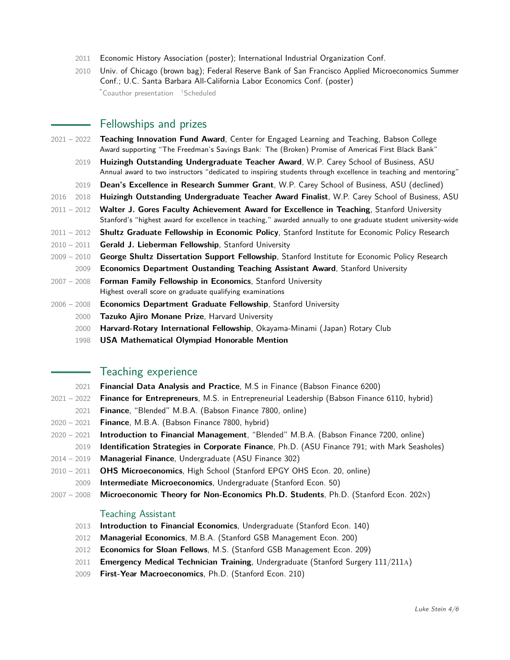- 2011 [Economic History Association](http://eh.net/eha/meetings/2011-meeting/) (poster); [International Industrial Organization Conf.](http://editorialexpress.com/conference/IIOC2011/program/IIOC2011.html#41)
- 2010 Univ. of Chicago (brown bag); [Federal Reserve Bank of San Francisco Applied Microeconomics Summer](http://www.frbsf.org/economics/conferences/1007/agenda.php) [Conf.;](http://www.frbsf.org/economics/conferences/1007/agenda.php) [U.C. Santa Barbara All-California Labor Economics Conf.](http://www.econ.ucsb.edu/conferences/aclec10/) (poster) \*Coauthor presentation †Scheduled

Fellowships and prizes

- 2021 2022 **[Teaching Innovation Fund Award](https://www.babson.edu/academics/teaching-and-research/center-for-engaged-learning-and-teaching/teaching-innovation-fund/)**, Center for Engaged Learning and Teaching, Babson College Award supporting "The Freedman's Savings Bank: The (Broken) Promise of Americaś First Black Bank"
	- 2019 **[Huizingh Outstanding Undergraduate Teacher Award](https://wpcarey.asu.edu/about/awards)**, W.P. Carey School of Business, ASU Annual award to two instructors "dedicated to inspiring students through excellence in teaching and mentoring"
	- 2019 **Dean's Excellence in Research Summer Grant**, W.P. Carey School of Business, ASU (declined)
- 2016 2018 **Huizingh Outstanding Undergraduate Teacher Award Finalist**, W.P. Carey School of Business, ASU
- 2011 2012 **[Walter J. Gores Faculty Achievement Award for Excellence in Teaching](http://studentaffairs.stanford.edu/registrar/everyone/gores)**, Stanford University Stanford's "highest award for excellence in teaching," awarded annually to one graduate student university-wide
- 2011 2012 **Shultz Graduate Fellowship in Economic Policy**, [Stanford Institute for Economic Policy Research](http://siepr.stanford.edu/)
- 2010 2011 **[Gerald J. Lieberman Fellowship](http://vpge.stanford.edu/fellowships/fellows.html#Lieberman)**, Stanford University
- 2009 2010 **George Shultz Dissertation Support Fellowship**, [Stanford Institute for Economic Policy Research](http://siepr.stanford.edu/)
	- 2009 **Economics Department Oustanding Teaching Assistant Award**, Stanford University
- 2007 2008 **Forman Family Fellowship in Economics**, Stanford University Highest overall score on graduate qualifying examinations
- 2006 2008 **Economics Department Graduate Fellowship**, Stanford University
	- 2000 **[Tazuko Ajiro Monane Prize](http://prizes.fas.harvard.edu/icb/icb.do?keyword=k78478&pageid=icb.page401491#a_icb_pagecontent850565_monane)**, Harvard University
	- 2000 **Harvard-Rotary International Fellowship**, Okayama-Minami (Japan) Rotary Club
	- 1998 **USA Mathematical Olympiad Honorable Mention**

# Teaching experience

- 2021 **Financial Data Analysis and Practice**, M.S in Finance (Babson Finance 6200)
- 2021 2022 **Finance for Entrepreneurs**, M.S. in Entrepreneurial Leadership (Babson Finance 6110, hybrid)
- 2021 **Finance**, "Blended" M.B.A. (Babson Finance 7800, online)
- 2020 2021 **Finance**, M.B.A. (Babson Finance 7800, hybrid)
- 2020 2021 **Introduction to Financial Management**, "Blended" M.B.A. (Babson Finance 7200, online)
- 2019 **Identification Strategies in Corporate Finance**, Ph.D. (ASU Finance 791; with Mark Seasholes)
- 2014 2019 **Managerial Finance**, Undergraduate (ASU Finance 302)
- 2010 2011 **OHS Microeconomics**, High School (Stanford EPGY OHS Econ. 20, online)
	- 2009 **Intermediate Microeconomics**, Undergraduate (Stanford Econ. 50)
- 2007 2008 **Microeconomic Theory for Non-Economics Ph.D. Students**, Ph.D. (Stanford Econ. 202n)

## Teaching Assistant

- 2013 **Introduction to Financial Economics**, Undergraduate (Stanford Econ. 140)
- 2012 **Managerial Economics**, M.B.A. (Stanford GSB Management Econ. 200)
- 2012 **Economics for Sloan Fellows**, M.S. (Stanford GSB Management Econ. 209)
- 2011 **[Emergency Medical Technician Training](http://web.stanford.edu/class/surg211/)**, Undergraduate (Stanford Surgery 111/211a)
- 2009 **First-Year Macroeconomics**, Ph.D. (Stanford Econ. 210)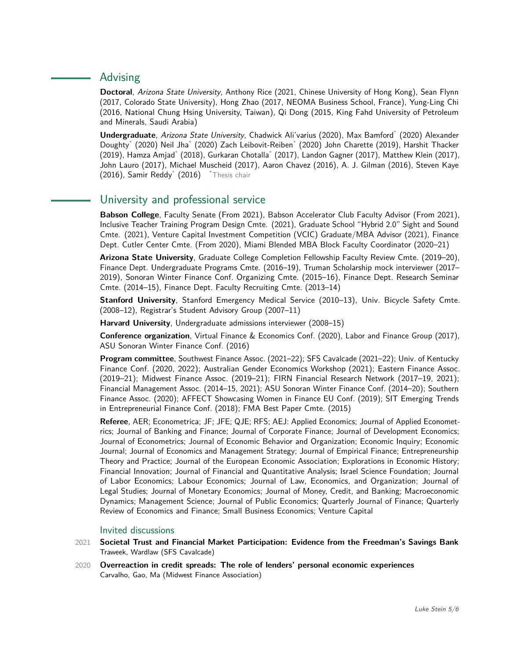# Advising

**Doctoral**, Arizona State University, [Anthony Rice](https://sites.google.com/view/anthonyrice) (2021, Chinese University of Hong Kong), [Sean Flynn](https://sites.google.com/site/seanjflynnjr/) (2017, Colorado State University), [Hong Zhao](https://sites.google.com/site/hongzhaofinance/) (2017, NEOMA Business School, France), Yung-Ling Chi (2016, National Chung Hsing University, Taiwan), [Qi Dong](http://cim.kfupm.edu.sa/profiles/qi-dong/) (2015, King Fahd University of Petroleum and Minerals, Saudi Arabia)

**Undergraduate**, Arizona State University, Chadwick Ali'varius (2020), Max Bamford\* (2020) Alexander Doughty\* (2020) Neil Jha\* (2020) Zach Leibovit-Reiben\* (2020) John Charette (2019), Harshit Thacker (2019), Hamza Amjad\* (2018), Gurkaran Chotalla\* (2017), Landon Gagner (2017), Matthew Klein (2017), John Lauro (2017), Michael Muscheid (2017), Aaron Chavez (2016), A. J. Gilman (2016), Steven Kaye (2016), Samir Reddy\* (2016) \*Thesis chair

# University and professional service

**Babson College**, Faculty Senate (From 2021), Babson Accelerator Club Faculty Advisor (From 2021), Inclusive Teacher Training Program Design Cmte. (2021), Graduate School "Hybrid 2.0" Sight and Sound Cmte. (2021), [Venture Capital Investment Competition \(VCIC\) Graduate/MBA Advisor](https://www.vcic.org/events/2021-events/2021-mba-new-england-boston-univ/) (2021), Finance Dept. Cutler Center Cmte. (From 2020), Miami Blended MBA Block Faculty Coordinator (2020–21)

**Arizona State University**, Graduate College Completion Fellowship Faculty Review Cmte. (2019–20), Finance Dept. Undergraduate Programs Cmte. (2016–19), Truman Scholarship mock interviewer (2017– 2019), Sonoran Winter Finance Conf. Organizing Cmte. (2015–16), Finance Dept. Research Seminar Cmte. (2014–15), Finance Dept. Faculty Recruiting Cmte. (2013–14)

**Stanford University**, [Stanford Emergency Medical Service](http://stems.stanford.edu/) (2010–13), [Univ. Bicycle Safety Cmte.](http://nomcom.stanford.edu/?q=node/3) (2008–12), [Registrar's Student Advisory Group](http://nomcom.stanford.edu/?q=node/3) (2007–11)

**Harvard University**, Undergraduate admissions interviewer (2008–15)

**Conference organization**, [Virtual Finance & Economics Conf. \(2020\),](https://static1.squarespace.com/static/56086d00e4b0fb7874bc2d42/t/5e95da1cfd6e6f34e93eef19/1586879005200/agenda.pdf) [Labor and Finance Group \(2017\),](https://sites.google.com/site/laborandfinancegroup/home/past-conferences) [ASU Sonoran Winter Finance Conf. \(2016\)](https://blogs.wpcarey.asu.edu/financeconference/?page_id=714)

**Program committee**, Southwest Finance Assoc. (2021–22); SFS Cavalcade (2021–22); Univ. of Kentucky Finance Conf. (2020, 2022); Australian Gender Economics Workshop (2021); Eastern Finance Assoc. (2019–21); Midwest Finance Assoc. (2019–21); FIRN Financial Research Network (2017–19, 2021); Financial Management Assoc. (2014–15, 2021); ASU Sonoran Winter Finance Conf. (2014–20); Southern Finance Assoc. (2020); AFFECT Showcasing Women in Finance EU Conf. (2019); SIT Emerging Trends in Entrepreneurial Finance Conf. (2018); FMA Best Paper Cmte. (2015)

**Referee**, AER; Econometrica; JF; JFE; QJE; RFS; AEJ: Applied Economics; Journal of Applied Econometrics; Journal of Banking and Finance; Journal of Corporate Finance; Journal of Development Economics; Journal of Econometrics; Journal of Economic Behavior and Organization; Economic Inquiry; Economic Journal; Journal of Economics and Management Strategy; Journal of Empirical Finance; Entrepreneurship Theory and Practice; Journal of the European Economic Association; Explorations in Economic History; Financial Innovation; Journal of Financial and Quantitative Analysis; Israel Science Foundation; Journal of Labor Economics; Labour Economics; Journal of Law, Economics, and Organization; Journal of Legal Studies; Journal of Monetary Economics; Journal of Money, Credit, and Banking; Macroeconomic Dynamics; Management Science; Journal of Public Economics; Quarterly Journal of Finance; Quarterly Review of Economics and Finance; Small Business Economics; Venture Capital

## Invited discussions

- 2021 **Societal Trust and Financial Market Participation: Evidence from the Freedman's Savings Bank** Traweek, Wardlaw (SFS Cavalcade)
- 2020 **Overreaction in credit spreads: The role of lenders' personal economic experiences** Carvalho, Gao, Ma (Midwest Finance Association)